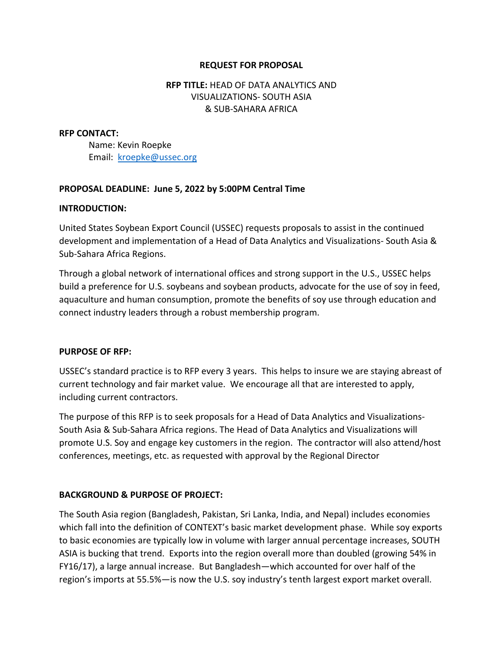## **REQUEST FOR PROPOSAL**

# **RFP TITLE:** HEAD OF DATA ANALYTICS AND VISUALIZATIONS- SOUTH ASIA & SUB-SAHARA AFRICA

#### **RFP CONTACT:**

Name: Kevin Roepke Email: kroepke@ussec.org

## **PROPOSAL DEADLINE: June 5, 2022 by 5:00PM Central Time**

#### **INTRODUCTION:**

United States Soybean Export Council (USSEC) requests proposals to assist in the continued development and implementation of a Head of Data Analytics and Visualizations- South Asia & Sub-Sahara Africa Regions.

Through a global network of international offices and strong support in the U.S., USSEC helps build a preference for U.S. soybeans and soybean products, advocate for the use of soy in feed, aquaculture and human consumption, promote the benefits of soy use through education and connect industry leaders through a robust membership program.

#### **PURPOSE OF RFP:**

USSEC's standard practice is to RFP every 3 years. This helps to insure we are staying abreast of current technology and fair market value. We encourage all that are interested to apply, including current contractors.

The purpose of this RFP is to seek proposals for a Head of Data Analytics and Visualizations-South Asia & Sub-Sahara Africa regions. The Head of Data Analytics and Visualizations will promote U.S. Soy and engage key customers in the region. The contractor will also attend/host conferences, meetings, etc. as requested with approval by the Regional Director

## **BACKGROUND & PURPOSE OF PROJECT:**

The South Asia region (Bangladesh, Pakistan, Sri Lanka, India, and Nepal) includes economies which fall into the definition of CONTEXT's basic market development phase. While soy exports to basic economies are typically low in volume with larger annual percentage increases, SOUTH ASIA is bucking that trend. Exports into the region overall more than doubled (growing 54% in FY16/17), a large annual increase. But Bangladesh—which accounted for over half of the region's imports at 55.5%—is now the U.S. soy industry's tenth largest export market overall.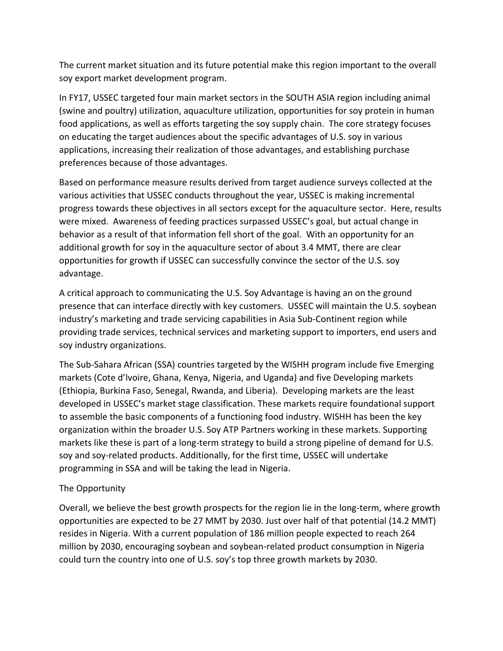The current market situation and its future potential make this region important to the overall soy export market development program.

In FY17, USSEC targeted four main market sectors in the SOUTH ASIA region including animal (swine and poultry) utilization, aquaculture utilization, opportunities for soy protein in human food applications, as well as efforts targeting the soy supply chain. The core strategy focuses on educating the target audiences about the specific advantages of U.S. soy in various applications, increasing their realization of those advantages, and establishing purchase preferences because of those advantages.

Based on performance measure results derived from target audience surveys collected at the various activities that USSEC conducts throughout the year, USSEC is making incremental progress towards these objectives in all sectors except for the aquaculture sector. Here, results were mixed. Awareness of feeding practices surpassed USSEC's goal, but actual change in behavior as a result of that information fell short of the goal. With an opportunity for an additional growth for soy in the aquaculture sector of about 3.4 MMT, there are clear opportunities for growth if USSEC can successfully convince the sector of the U.S. soy advantage.

A critical approach to communicating the U.S. Soy Advantage is having an on the ground presence that can interface directly with key customers. USSEC will maintain the U.S. soybean industry's marketing and trade servicing capabilities in Asia Sub-Continent region while providing trade services, technical services and marketing support to importers, end users and soy industry organizations.

The Sub-Sahara African (SSA) countries targeted by the WISHH program include five Emerging markets (Cote d'Ivoire, Ghana, Kenya, Nigeria, and Uganda) and five Developing markets (Ethiopia, Burkina Faso, Senegal, Rwanda, and Liberia). Developing markets are the least developed in USSEC's market stage classification. These markets require foundational support to assemble the basic components of a functioning food industry. WISHH has been the key organization within the broader U.S. Soy ATP Partners working in these markets. Supporting markets like these is part of a long-term strategy to build a strong pipeline of demand for U.S. soy and soy-related products. Additionally, for the first time, USSEC will undertake programming in SSA and will be taking the lead in Nigeria.

# The Opportunity

Overall, we believe the best growth prospects for the region lie in the long-term, where growth opportunities are expected to be 27 MMT by 2030. Just over half of that potential (14.2 MMT) resides in Nigeria. With a current population of 186 million people expected to reach 264 million by 2030, encouraging soybean and soybean-related product consumption in Nigeria could turn the country into one of U.S. soy's top three growth markets by 2030.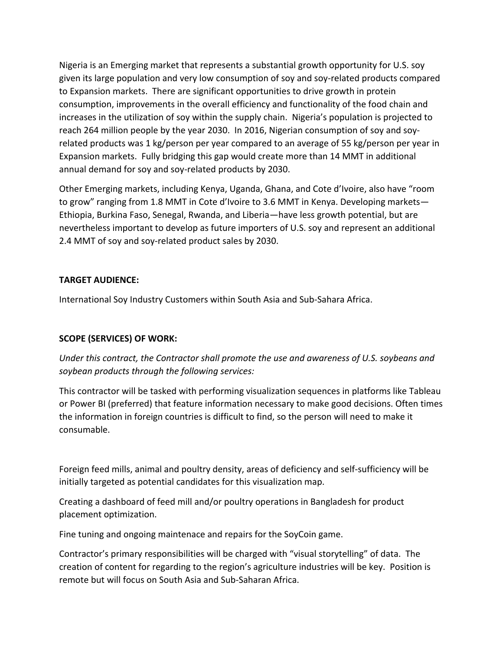Nigeria is an Emerging market that represents a substantial growth opportunity for U.S. soy given its large population and very low consumption of soy and soy-related products compared to Expansion markets. There are significant opportunities to drive growth in protein consumption, improvements in the overall efficiency and functionality of the food chain and increases in the utilization of soy within the supply chain. Nigeria's population is projected to reach 264 million people by the year 2030. In 2016, Nigerian consumption of soy and soyrelated products was 1 kg/person per year compared to an average of 55 kg/person per year in Expansion markets. Fully bridging this gap would create more than 14 MMT in additional annual demand for soy and soy-related products by 2030.

Other Emerging markets, including Kenya, Uganda, Ghana, and Cote d'Ivoire, also have "room to grow" ranging from 1.8 MMT in Cote d'Ivoire to 3.6 MMT in Kenya. Developing markets— Ethiopia, Burkina Faso, Senegal, Rwanda, and Liberia—have less growth potential, but are nevertheless important to develop as future importers of U.S. soy and represent an additional 2.4 MMT of soy and soy-related product sales by 2030.

# **TARGET AUDIENCE:**

International Soy Industry Customers within South Asia and Sub-Sahara Africa.

# **SCOPE (SERVICES) OF WORK:**

*Under this contract, the Contractor shall promote the use and awareness of U.S. soybeans and soybean products through the following services:*

This contractor will be tasked with performing visualization sequences in platforms like Tableau or Power BI (preferred) that feature information necessary to make good decisions. Often times the information in foreign countries is difficult to find, so the person will need to make it consumable.

Foreign feed mills, animal and poultry density, areas of deficiency and self-sufficiency will be initially targeted as potential candidates for this visualization map.

Creating a dashboard of feed mill and/or poultry operations in Bangladesh for product placement optimization.

Fine tuning and ongoing maintenace and repairs for the SoyCoin game.

Contractor's primary responsibilities will be charged with "visual storytelling" of data. The creation of content for regarding to the region's agriculture industries will be key. Position is remote but will focus on South Asia and Sub-Saharan Africa.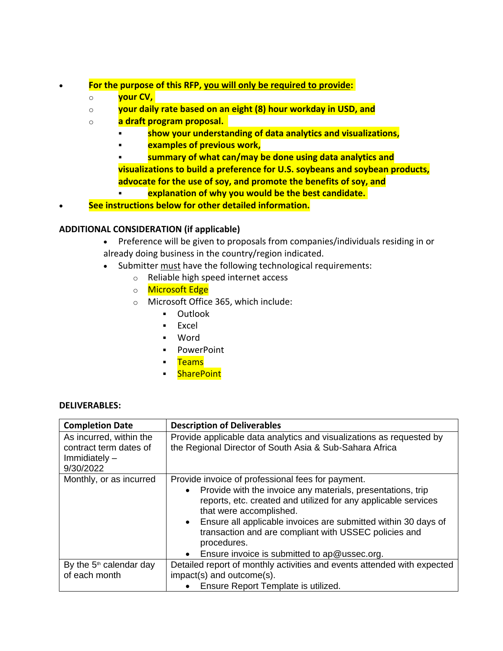- **For the purpose of this RFP, you will only be required to provide:**
	- o **your CV,**
	- o **your daily rate based on an eight (8) hour workday in USD, and**
	- o **a draft program proposal.** 
		- **show your understanding of data analytics and visualizations,**
		- **examples of previous work,**
		- **summary of what can/may be done using data analytics and visualizations to build a preference for U.S. soybeans and soybean products, advocate for the use of soy, and promote the benefits of soy, and**
			- **explanation of why you would be the best candidate.**

• **See instructions below for other detailed information.**

## **ADDITIONAL CONSIDERATION (if applicable)**

- Preference will be given to proposals from companies/individuals residing in or already doing business in the country/region indicated.
- Submitter must have the following technological requirements:
	- o Reliable high speed internet access
	- o Microsoft Edge
	- o Microsoft Office 365, which include:
		- Outlook
		- Excel
		- Word
		- PowerPoint
		- Teams
		- **SharePoint**

#### **DELIVERABLES:**

| <b>Completion Date</b>                                                            | <b>Description of Deliverables</b>                                                                                                                                                                                                                                                                                                                                                                                                |
|-----------------------------------------------------------------------------------|-----------------------------------------------------------------------------------------------------------------------------------------------------------------------------------------------------------------------------------------------------------------------------------------------------------------------------------------------------------------------------------------------------------------------------------|
| As incurred, within the<br>contract term dates of<br>Immidiately $-$<br>9/30/2022 | Provide applicable data analytics and visualizations as requested by<br>the Regional Director of South Asia & Sub-Sahara Africa                                                                                                                                                                                                                                                                                                   |
| Monthly, or as incurred                                                           | Provide invoice of professional fees for payment.<br>Provide with the invoice any materials, presentations, trip<br>$\bullet$<br>reports, etc. created and utilized for any applicable services<br>that were accomplished.<br>Ensure all applicable invoices are submitted within 30 days of<br>$\bullet$<br>transaction and are compliant with USSEC policies and<br>procedures.<br>Ensure invoice is submitted to ap@ussec.org. |
| By the 5 <sup>th</sup> calendar day                                               | Detailed report of monthly activities and events attended with expected                                                                                                                                                                                                                                                                                                                                                           |
| of each month                                                                     | impact(s) and outcome(s).                                                                                                                                                                                                                                                                                                                                                                                                         |
|                                                                                   | Ensure Report Template is utilized.                                                                                                                                                                                                                                                                                                                                                                                               |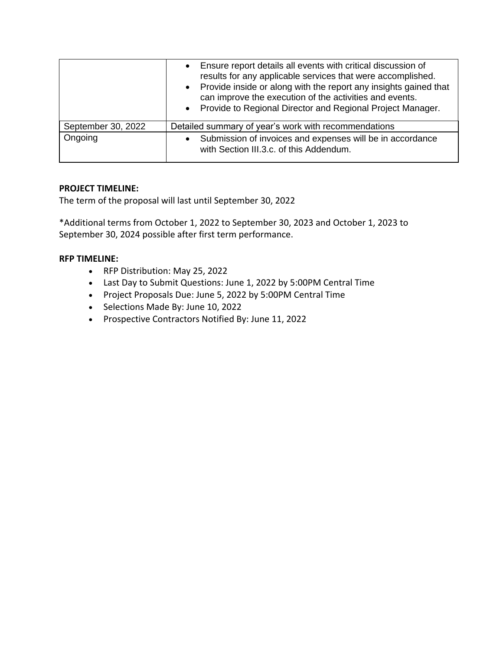|                    | Ensure report details all events with critical discussion of<br>$\bullet$<br>results for any applicable services that were accomplished.<br>Provide inside or along with the report any insights gained that<br>$\bullet$<br>can improve the execution of the activities and events.<br>Provide to Regional Director and Regional Project Manager.<br>$\bullet$ |
|--------------------|-----------------------------------------------------------------------------------------------------------------------------------------------------------------------------------------------------------------------------------------------------------------------------------------------------------------------------------------------------------------|
| September 30, 2022 | Detailed summary of year's work with recommendations                                                                                                                                                                                                                                                                                                            |
| Ongoing            | Submission of invoices and expenses will be in accordance<br>$\bullet$<br>with Section III.3.c. of this Addendum.                                                                                                                                                                                                                                               |

# **PROJECT TIMELINE:**

The term of the proposal will last until September 30, 2022

\*Additional terms from October 1, 2022 to September 30, 2023 and October 1, 2023 to September 30, 2024 possible after first term performance.

# **RFP TIMELINE:**

- RFP Distribution: May 25, 2022
- Last Day to Submit Questions: June 1, 2022 by 5:00PM Central Time
- Project Proposals Due: June 5, 2022 by 5:00PM Central Time
- Selections Made By: June 10, 2022
- Prospective Contractors Notified By: June 11, 2022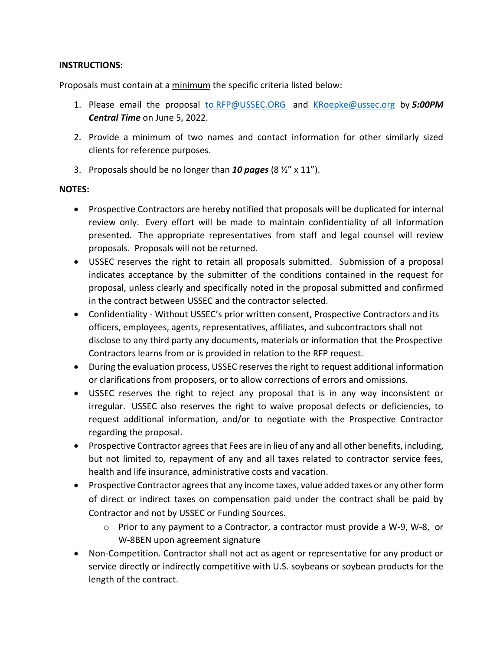## **INSTRUCTIONS:**

Proposals must contain at a minimum the specific criteria listed below:

- 1. Please email the proposal to [RFP@USSEC.ORG](mailto:to RFP@USSEC.ORG ) and [KRoepke@ussec.org](mailto:KRoepke@ussec.org) by *5:00PM Central Time* on June 5, 2022.
- 2. Provide a minimum of two names and contact information for other similarly sized clients for reference purposes.
- 3. Proposals should be no longer than *10 pages* (8 ½" x 11").

# **NOTES:**

- Prospective Contractors are hereby notified that proposals will be duplicated for internal review only. Every effort will be made to maintain confidentiality of all information presented. The appropriate representatives from staff and legal counsel will review proposals. Proposals will not be returned.
- USSEC reserves the right to retain all proposals submitted. Submission of a proposal indicates acceptance by the submitter of the conditions contained in the request for proposal, unless clearly and specifically noted in the proposal submitted and confirmed in the contract between USSEC and the contractor selected.
- Confidentiality Without USSEC's prior written consent, Prospective Contractors and its officers, employees, agents, representatives, affiliates, and subcontractors shall not disclose to any third party any documents, materials or information that the Prospective Contractors learns from or is provided in relation to the RFP request.
- During the evaluation process, USSEC reserves the right to request additional information or clarifications from proposers, or to allow corrections of errors and omissions.
- USSEC reserves the right to reject any proposal that is in any way inconsistent or irregular. USSEC also reserves the right to waive proposal defects or deficiencies, to request additional information, and/or to negotiate with the Prospective Contractor regarding the proposal.
- Prospective Contractor agrees that Fees are in lieu of any and all other benefits, including, but not limited to, repayment of any and all taxes related to contractor service fees, health and life insurance, administrative costs and vacation.
- Prospective Contractor agrees that any income taxes, value added taxes or any other form of direct or indirect taxes on compensation paid under the contract shall be paid by Contractor and not by USSEC or Funding Sources.
	- o Prior to any payment to a Contractor, a contractor must provide a W-9, W-8, or W-8BEN upon agreement signature
- Non-Competition. Contractor shall not act as agent or representative for any product or service directly or indirectly competitive with U.S. soybeans or soybean products for the length of the contract.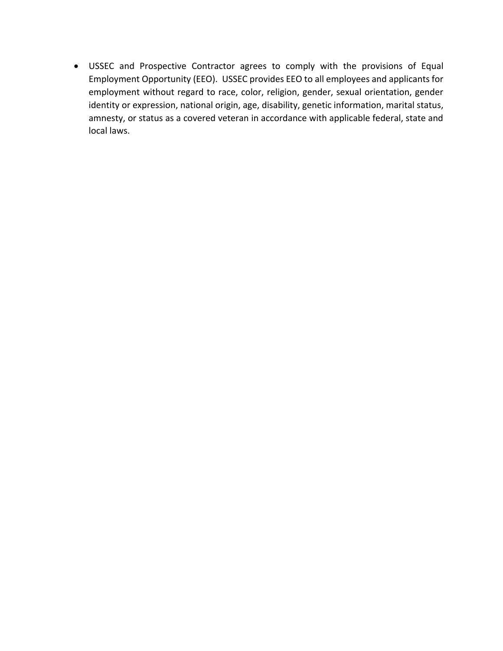• USSEC and Prospective Contractor agrees to comply with the provisions of Equal Employment Opportunity (EEO). USSEC provides EEO to all employees and applicants for employment without regard to race, color, religion, gender, sexual orientation, gender identity or expression, national origin, age, disability, genetic information, marital status, amnesty, or status as a covered veteran in accordance with applicable federal, state and local laws.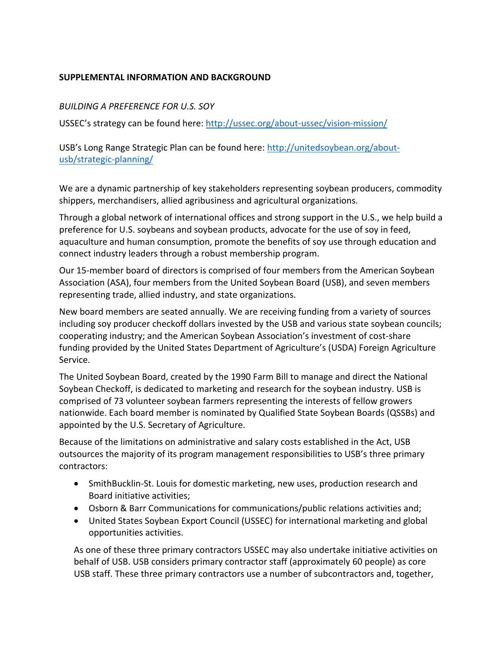# **SUPPLEMENTAL INFORMATION AND BACKGROUND**

## *BUILDING A PREFERENCE FOR U.S. SOY*

USSEC's strategy can be found here: <http://ussec.org/about-ussec/vision-mission/>

USB's Long Range Strategic Plan can be found here: [http://unitedsoybean.org/about](http://unitedsoybean.org/about-usb/strategic-planning/)[usb/strategic-planning/](http://unitedsoybean.org/about-usb/strategic-planning/)

We are a dynamic partnership of key stakeholders representing soybean producers, commodity shippers, merchandisers, allied agribusiness and agricultural organizations.

Through a global network of international offices and strong support in the U.S., we help build a preference for U.S. soybeans and soybean products, advocate for the use of soy in feed, aquaculture and human consumption, promote the benefits of soy use through education and connect industry leaders through a robust membership program.

Our 15-member board of directors is comprised of four members from the American Soybean Association (ASA), four members from the United Soybean Board (USB), and seven members representing trade, allied industry, and state organizations.

New board members are seated annually. We are receiving funding from a variety of sources including soy producer checkoff dollars invested by the USB and various state soybean councils; cooperating industry; and the American Soybean Association's investment of cost-share funding provided by the United States Department of Agriculture's (USDA) Foreign Agriculture Service.

The United Soybean Board, created by the 1990 Farm Bill to manage and direct the National Soybean Checkoff, is dedicated to marketing and research for the soybean industry. USB is comprised of 73 volunteer soybean farmers representing the interests of fellow growers nationwide. Each board member is nominated by Qualified State Soybean Boards (QSSBs) and appointed by the U.S. Secretary of Agriculture.

Because of the limitations on administrative and salary costs established in the Act, USB outsources the majority of its program management responsibilities to USB's three primary contractors:

- SmithBucklin-St. Louis for domestic marketing, new uses, production research and Board initiative activities;
- Osborn & Barr Communications for communications/public relations activities and;
- United States Soybean Export Council (USSEC) for international marketing and global opportunities activities.

As one of these three primary contractors USSEC may also undertake initiative activities on behalf of USB. USB considers primary contractor staff (approximately 60 people) as core USB staff. These three primary contractors use a number of subcontractors and, together,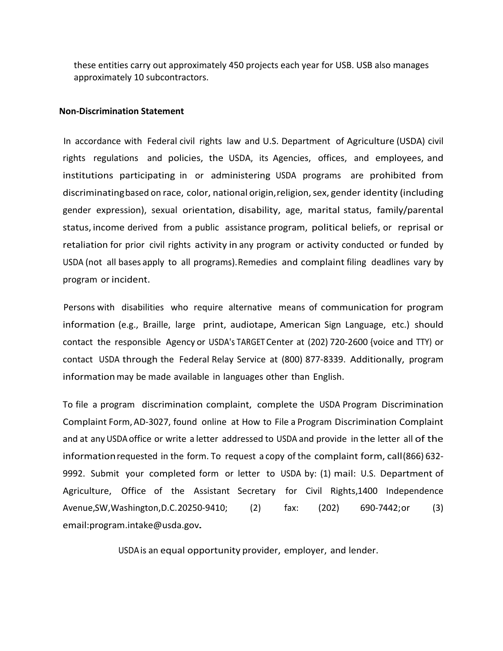these entities carry out approximately 450 projects each year for USB. USB also manages approximately 10 subcontractors.

#### **Non-Discrimination Statement**

In accordance with Federal civil rights law and U.S. Department of Agriculture (USDA) civil rights regulations and policies, the USDA, its Agencies, offices, and employees, and institutions participating in or administering USDA programs are prohibited from discriminatingbased on race, color, national origin, religion, sex, gender identity (including gender expression), sexual orientation, disability, age, marital status, family/parental status, income derived from a public assistance program, political beliefs, or reprisal or retaliation for prior civil rights activity in any program or activity conducted or funded by USDA (not all bases apply to all programs).Remedies and complaint filing deadlines vary by program or incident.

Persons with disabilities who require alternative means of communication for program information (e.g., Braille, large print, audiotape, American Sign Language, etc.) should contact the responsible Agency or USDA's TARGET Center at (202) 720-2600 {voice and TTY) or contact USDA through the Federal Relay Service at (800) 877-8339. Additionally, program information may be made available in languages other than English.

To file a program discrimination complaint, complete the USDA Program Discrimination Complaint Form, AD-3027, found online at How to File a Program Discrimination Complaint and at any USDA office or write a letter addressed to USDA and provide in the letter all of the informationrequested in the form. To request a copy of the complaint form, call(866) 632- 9992. Submit your completed form or letter to USDA by: (1) mail: U.S. Department of Agriculture, Office of the Assistant Secretary for Civil Rights,1400 Independence Avenue,SW,Washington,D.C.20250-9410; (2) fax: (202) 690-7442;or (3) [email:program.intake@usda.gov.](mailto:program.intake@usda.gov)

USDAis an equal opportunity provider, employer, and lender.